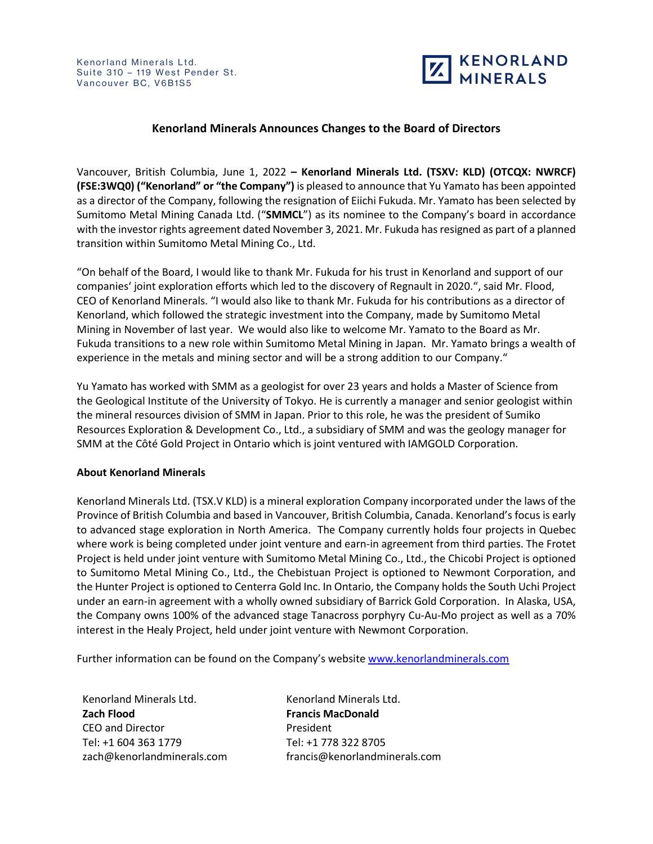

## **Kenorland Minerals Announces Changes to the Board of Directors**

Vancouver, British Columbia, June 1, 2022 **– Kenorland Minerals Ltd. (TSXV: KLD) (OTCQX: NWRCF) (FSE:3WQ0) ("Kenorland" or "the Company")** is pleased to announce that Yu Yamato has been appointed as a director of the Company, following the resignation of Eiichi Fukuda. Mr. Yamato has been selected by Sumitomo Metal Mining Canada Ltd. ("**SMMCL**") as its nominee to the Company's board in accordance with the investor rights agreement dated November 3, 2021. Mr. Fukuda has resigned as part of a planned transition within Sumitomo Metal Mining Co., Ltd.

"On behalf of the Board, I would like to thank Mr. Fukuda for his trust in Kenorland and support of our companies' joint exploration efforts which led to the discovery of Regnault in 2020.", said Mr. Flood, CEO of Kenorland Minerals. "I would also like to thank Mr. Fukuda for his contributions as a director of Kenorland, which followed the strategic investment into the Company, made by Sumitomo Metal Mining in November of last year. We would also like to welcome Mr. Yamato to the Board as Mr. Fukuda transitions to a new role within Sumitomo Metal Mining in Japan. Mr. Yamato brings a wealth of experience in the metals and mining sector and will be a strong addition to our Company."

Yu Yamato has worked with SMM as a geologist for over 23 years and holds a Master of Science from the Geological Institute of the University of Tokyo. He is currently a manager and senior geologist within the mineral resources division of SMM in Japan. Prior to this role, he was the president of Sumiko Resources Exploration & Development Co., Ltd., a subsidiary of SMM and was the geology manager for SMM at the Côté Gold Project in Ontario which is joint ventured with IAMGOLD Corporation.

## **About Kenorland Minerals**

Kenorland Minerals Ltd. (TSX.V KLD) is a mineral exploration Company incorporated under the laws of the Province of British Columbia and based in Vancouver, British Columbia, Canada. Kenorland's focus is early to advanced stage exploration in North America. The Company currently holds four projects in Quebec where work is being completed under joint venture and earn-in agreement from third parties. The Frotet Project is held under joint venture with Sumitomo Metal Mining Co., Ltd., the Chicobi Project is optioned to Sumitomo Metal Mining Co., Ltd., the Chebistuan Project is optioned to Newmont Corporation, and the Hunter Project is optioned to Centerra Gold Inc. In Ontario, the Company holds the South Uchi Project under an earn-in agreement with a wholly owned subsidiary of Barrick Gold Corporation. In Alaska, USA, the Company owns 100% of the advanced stage Tanacross porphyry Cu-Au-Mo project as well as a 70% interest in the Healy Project, held under joint venture with Newmont Corporation.

Further information can be found on the Company's website www.kenorlandminerals.com

Kenorland Minerals Ltd. **Zach Flood** CEO and Director Tel: +1 604 363 1779 zach@kenorlandminerals.com

Kenorland Minerals Ltd. **Francis MacDonald** President Tel: +1 778 322 8705 francis@kenorlandminerals.com